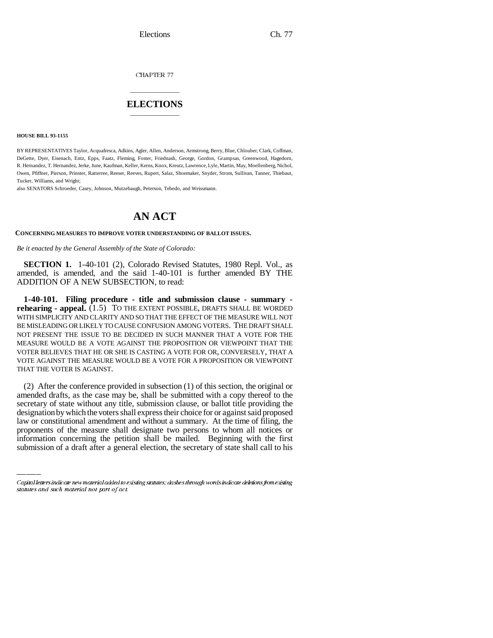CHAPTER 77

## \_\_\_\_\_\_\_\_\_\_\_\_\_\_\_ **ELECTIONS** \_\_\_\_\_\_\_\_\_\_\_\_\_\_\_

**HOUSE BILL 93-1155**

BY REPRESENTATIVES Taylor, Acquafresca, Adkins, Agler, Allen, Anderson, Armstrong, Berry, Blue, Chlouber, Clark, Coffman, DeGette, Dyer, Eisenach, Entz, Epps, Faatz, Fleming, Foster, Friednash, George, Gordon, Grampsas, Greenwood, Hagedorn, R. Hernandez, T. Hernandez, Jerke, June, Kaufman, Keller, Kerns, Knox, Kreutz, Lawrence, Lyle, Martin, May, Moellenberg, Nichol, Owen, Pfiffner, Pierson, Prinster, Ratterree, Reeser, Reeves, Rupert, Salaz, Shoemaker, Snyder, Strom, Sullivan, Tanner, Thiebaut, Tucker, Williams, and Wright;

also SENATORS Schroeder, Casey, Johnson, Mutzebaugh, Peterson, Tebedo, and Weissmann.

## **AN ACT**

## **CONCERNING MEASURES TO IMPROVE VOTER UNDERSTANDING OF BALLOT ISSUES.**

*Be it enacted by the General Assembly of the State of Colorado:*

**SECTION 1.** 1-40-101 (2), Colorado Revised Statutes, 1980 Repl. Vol., as amended, is amended, and the said 1-40-101 is further amended BY THE ADDITION OF A NEW SUBSECTION, to read:

**1-40-101. Filing procedure - title and submission clause - summary rehearing - appeal.** (1.5) TO THE EXTENT POSSIBLE, DRAFTS SHALL BE WORDED WITH SIMPLICITY AND CLARITY AND SO THAT THE EFFECT OF THE MEASURE WILL NOT BE MISLEADING OR LIKELY TO CAUSE CONFUSION AMONG VOTERS. THE DRAFT SHALL NOT PRESENT THE ISSUE TO BE DECIDED IN SUCH MANNER THAT A VOTE FOR THE MEASURE WOULD BE A VOTE AGAINST THE PROPOSITION OR VIEWPOINT THAT THE VOTER BELIEVES THAT HE OR SHE IS CASTING A VOTE FOR OR, CONVERSELY, THAT A VOTE AGAINST THE MEASURE WOULD BE A VOTE FOR A PROPOSITION OR VIEWPOINT THAT THE VOTER IS AGAINST.

designation by which the voters shall express their choice for or against said proposed (2) After the conference provided in subsection (1) of this section, the original or amended drafts, as the case may be, shall be submitted with a copy thereof to the secretary of state without any title, submission clause, or ballot title providing the law or constitutional amendment and without a summary. At the time of filing, the proponents of the measure shall designate two persons to whom all notices or information concerning the petition shall be mailed. Beginning with the first submission of a draft after a general election, the secretary of state shall call to his

Capital letters indicate new material added to existing statutes; dashes through words indicate deletions from existing statutes and such material not part of act.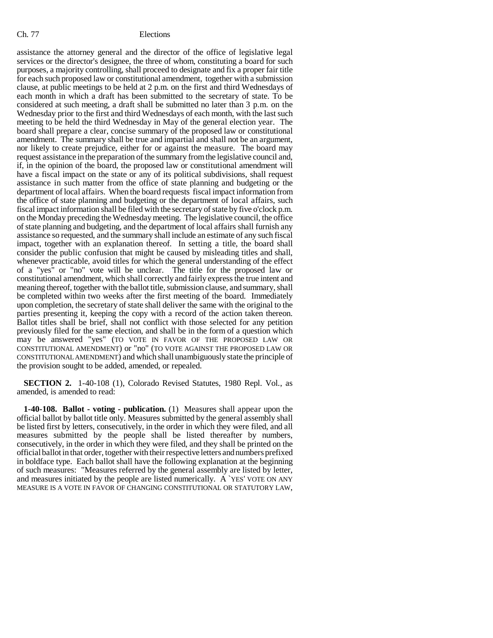## Ch. 77 Elections

assistance the attorney general and the director of the office of legislative legal services or the director's designee, the three of whom, constituting a board for such purposes, a majority controlling, shall proceed to designate and fix a proper fair title for each such proposed law or constitutional amendment, together with a submission clause, at public meetings to be held at 2 p.m. on the first and third Wednesdays of each month in which a draft has been submitted to the secretary of state. To be considered at such meeting, a draft shall be submitted no later than 3 p.m. on the Wednesday prior to the first and third Wednesdays of each month, with the last such meeting to be held the third Wednesday in May of the general election year. The board shall prepare a clear, concise summary of the proposed law or constitutional amendment. The summary shall be true and impartial and shall not be an argument, nor likely to create prejudice, either for or against the measure. The board may request assistance in the preparation of the summary from the legislative council and, if, in the opinion of the board, the proposed law or constitutional amendment will have a fiscal impact on the state or any of its political subdivisions, shall request assistance in such matter from the office of state planning and budgeting or the department of local affairs. When the board requests fiscal impact information from the office of state planning and budgeting or the department of local affairs, such fiscal impact information shall be filed with the secretary of state by five o'clock p.m. on the Monday preceding the Wednesday meeting. The legislative council, the office of state planning and budgeting, and the department of local affairs shall furnish any assistance so requested, and the summary shall include an estimate of any such fiscal impact, together with an explanation thereof. In setting a title, the board shall consider the public confusion that might be caused by misleading titles and shall, whenever practicable, avoid titles for which the general understanding of the effect of a "yes" or "no" vote will be unclear. The title for the proposed law or constitutional amendment, which shall correctly and fairly express the true intent and meaning thereof, together with the ballot title, submission clause, and summary, shall be completed within two weeks after the first meeting of the board. Immediately upon completion, the secretary of state shall deliver the same with the original to the parties presenting it, keeping the copy with a record of the action taken thereon. Ballot titles shall be brief, shall not conflict with those selected for any petition previously filed for the same election, and shall be in the form of a question which may be answered "yes" (TO VOTE IN FAVOR OF THE PROPOSED LAW OR CONSTITUTIONAL AMENDMENT) or "no" (TO VOTE AGAINST THE PROPOSED LAW OR CONSTITUTIONAL AMENDMENT) and which shall unambiguously state the principle of the provision sought to be added, amended, or repealed.

**SECTION 2.** 1-40-108 (1), Colorado Revised Statutes, 1980 Repl. Vol., as amended, is amended to read:

**1-40-108. Ballot - voting - publication.** (1) Measures shall appear upon the official ballot by ballot title only. Measures submitted by the general assembly shall be listed first by letters, consecutively, in the order in which they were filed, and all measures submitted by the people shall be listed thereafter by numbers, consecutively, in the order in which they were filed, and they shall be printed on the official ballot in that order, together with their respective letters and numbers prefixed in boldface type. Each ballot shall have the following explanation at the beginning of such measures: "Measures referred by the general assembly are listed by letter, and measures initiated by the people are listed numerically. A `YES' VOTE ON ANY MEASURE IS A VOTE IN FAVOR OF CHANGING CONSTITUTIONAL OR STATUTORY LAW,